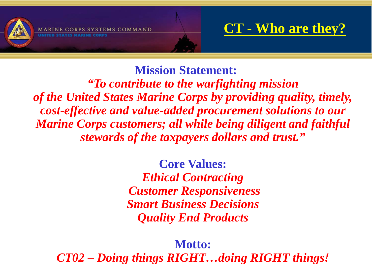

PS SYSTEMS COMMAND

### **CT - Who are they?**

**Mission Statement:** *"To contribute to the warfighting mission of the United States Marine Corps by providing quality, timely, cost-effective and value-added procurement solutions to our Marine Corps customers; all while being diligent and faithful stewards of the taxpayers dollars and trust."*

> **Core Values:** *Ethical Contracting Customer Responsiveness Smart Business Decisions Quality End Products*

**Motto:** *CT02 – Doing things RIGHT…doing RIGHT things!*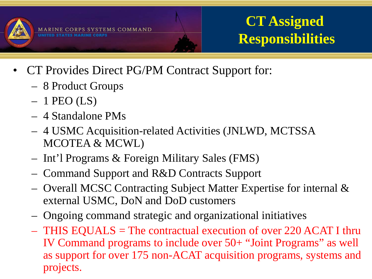

# **CT Assigned Responsibilities**

- CT Provides Direct PG/PM Contract Support for:
	- 8 Product Groups
	- $-1$  PEO (LS)
	- 4 Standalone PMs
	- 4 USMC Acquisition-related Activities (JNLWD, MCTSSA MCOTEA & MCWL)
	- Int'l Programs & Foreign Military Sales (FMS)
	- Command Support and R&D Contracts Support
	- Overall MCSC Contracting Subject Matter Expertise for internal & external USMC, DoN and DoD customers
	- Ongoing command strategic and organizational initiatives
	- THIS EQUALS = The contractual execution of over 220 ACAT I thru IV Command programs to include over 50+ "Joint Programs" as well as support for over 175 non-ACAT acquisition programs, systems and projects.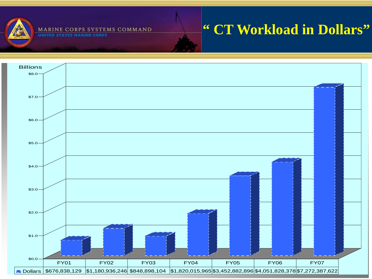

#### MARINE CORPS SYSTEMS COMMAND

**UNITED STATES MARINE CORPS** 

## **" CT Workload in Dollars"**